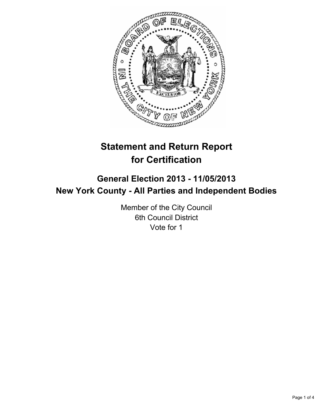

# **Statement and Return Report for Certification**

## **General Election 2013 - 11/05/2013 New York County - All Parties and Independent Bodies**

Member of the City Council 6th Council District Vote for 1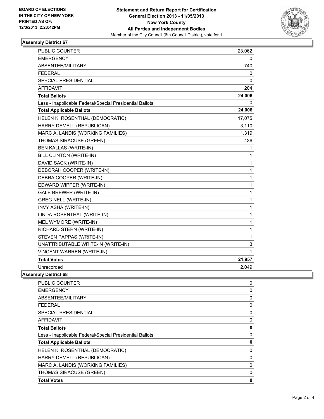

### **Assembly District 67**

| PUBLIC COUNTER                                           | 23,062       |
|----------------------------------------------------------|--------------|
| <b>EMERGENCY</b>                                         | 0            |
| ABSENTEE/MILITARY                                        | 740          |
| <b>FEDERAL</b>                                           | 0            |
| <b>SPECIAL PRESIDENTIAL</b>                              | 0            |
| <b>AFFIDAVIT</b>                                         | 204          |
| <b>Total Ballots</b>                                     | 24,006       |
| Less - Inapplicable Federal/Special Presidential Ballots | 0            |
| <b>Total Applicable Ballots</b>                          | 24,006       |
| HELEN K. ROSENTHAL (DEMOCRATIC)                          | 17,075       |
| HARRY DEMELL (REPUBLICAN)                                | 3,110        |
| MARC A. LANDIS (WORKING FAMILIES)                        | 1,319        |
| THOMAS SIRACUSE (GREEN)                                  | 436          |
| <b>BEN KALLAS (WRITE-IN)</b>                             | 1            |
| BILL CLINTON (WRITE-IN)                                  | 1            |
| DAVID SACK (WRITE-IN)                                    | $\mathbf{1}$ |
| DEBORAH COOPER (WRITE-IN)                                | $\mathbf{1}$ |
| DEBRA COOPER (WRITE-IN)                                  | 1            |
| EDWARD WIPPER (WRITE-IN)                                 | $\mathbf{1}$ |
| GALE BREWER (WRITE-IN)                                   | $\mathbf 1$  |
| <b>GREG NELL (WRITE-IN)</b>                              | $\mathbf{1}$ |
| INVY ASHA (WRITE-IN)                                     | $\mathbf 1$  |
| LINDA ROSENTHAL (WRITE-IN)                               | $\mathbf 1$  |
| MEL WYMORE (WRITE-IN)                                    | $\mathbf 1$  |
| RICHARD STERN (WRITE-IN)                                 | $\mathbf{1}$ |
| STEVEN PAPPAS (WRITE-IN)                                 | 1            |
| UNATTRIBUTABLE WRITE-IN (WRITE-IN)                       | 3            |
| <b>VINCENT WARREN (WRITE-IN)</b>                         | 1            |
| <b>Total Votes</b>                                       | 21,957       |
| Unrecorded                                               | 2,049        |

### **Assembly District 68**

| <b>PUBLIC COUNTER</b>                                    | 0 |
|----------------------------------------------------------|---|
| <b>EMERGENCY</b>                                         | 0 |
| <b>ABSENTEE/MILITARY</b>                                 | 0 |
| FEDERAL                                                  | 0 |
| SPECIAL PRESIDENTIAL                                     | 0 |
| AFFIDAVIT                                                | 0 |
| <b>Total Ballots</b>                                     | 0 |
| Less - Inapplicable Federal/Special Presidential Ballots | 0 |
| <b>Total Applicable Ballots</b>                          | 0 |
| HELEN K. ROSENTHAL (DEMOCRATIC)                          | 0 |
| HARRY DEMELL (REPUBLICAN)                                | 0 |
| MARC A. LANDIS (WORKING FAMILIES)                        | 0 |
| <b>THOMAS SIRACUSE (GREEN)</b>                           | 0 |
| <b>Total Votes</b>                                       | 0 |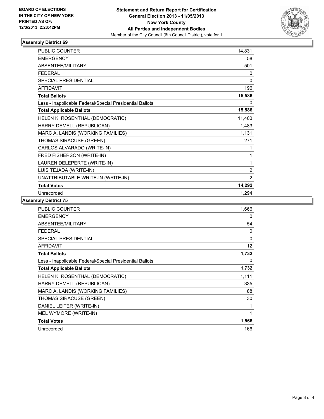

### **Assembly District 69**

| <b>PUBLIC COUNTER</b>                                    | 14,831         |
|----------------------------------------------------------|----------------|
| <b>EMERGENCY</b>                                         | 58             |
| ABSENTEE/MILITARY                                        | 501            |
| <b>FEDERAL</b>                                           | 0              |
| SPECIAL PRESIDENTIAL                                     | $\Omega$       |
| <b>AFFIDAVIT</b>                                         | 196            |
| <b>Total Ballots</b>                                     | 15,586         |
| Less - Inapplicable Federal/Special Presidential Ballots | 0              |
| <b>Total Applicable Ballots</b>                          | 15,586         |
| HELEN K. ROSENTHAL (DEMOCRATIC)                          | 11,400         |
| HARRY DEMELL (REPUBLICAN)                                | 1,483          |
| MARC A. LANDIS (WORKING FAMILIES)                        | 1,131          |
| THOMAS SIRACUSE (GREEN)                                  | 271            |
| CARLOS ALVARADO (WRITE-IN)                               | 1              |
| FRED FISHERSON (WRITE-IN)                                | 1              |
| LAUREN DELEPERTE (WRITE-IN)                              | 1              |
| LUIS TEJADA (WRITE-IN)                                   | $\overline{2}$ |
| UNATTRIBUTABLE WRITE-IN (WRITE-IN)                       | $\overline{2}$ |
| <b>Total Votes</b>                                       | 14,292         |
| Unrecorded                                               | 1,294          |

**Assembly District 75**

| <b>PUBLIC COUNTER</b>                                    | 1,666 |
|----------------------------------------------------------|-------|
| <b>EMERGENCY</b>                                         | 0     |
| ABSENTEE/MILITARY                                        | 54    |
| <b>FEDERAL</b>                                           | 0     |
| <b>SPECIAL PRESIDENTIAL</b>                              | 0     |
| <b>AFFIDAVIT</b>                                         | 12    |
| <b>Total Ballots</b>                                     | 1,732 |
| Less - Inapplicable Federal/Special Presidential Ballots | 0     |
| <b>Total Applicable Ballots</b>                          | 1,732 |
| HELEN K. ROSENTHAL (DEMOCRATIC)                          | 1,111 |
| HARRY DEMELL (REPUBLICAN)                                | 335   |
| MARC A. LANDIS (WORKING FAMILIES)                        | 88    |
| THOMAS SIRACUSE (GREEN)                                  | 30    |
| DANIEL LEITER (WRITE-IN)                                 |       |
| MEL WYMORE (WRITE-IN)                                    | 1     |
| <b>Total Votes</b>                                       | 1,566 |
| Unrecorded                                               | 166   |